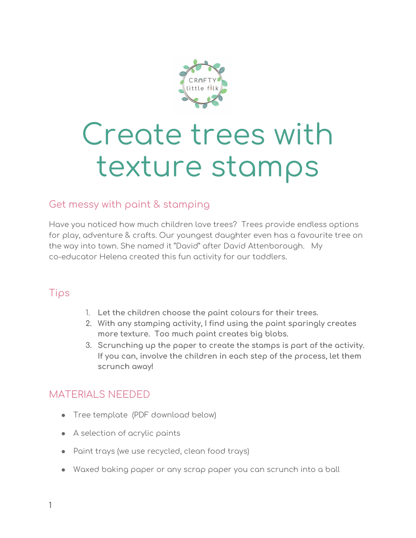

# Create trees with texture stamps

#### Get messy with paint & stamping

Have you noticed how much children love trees? Trees provide endless options for play, adventure & crafts. Our youngest daughter even has a favourite tree on the way into town. She named it "David" after David Attenborough. My co-educator Helena created this fun activity for our toddlers.

### Tips

- 1. **Let the children choose the paint colours for their trees.**
- **2. With any stamping activity, I find using the paint sparingly creates more texture. Too much paint creates big blobs.**
- **3. Scrunching up the paper to create the stamps is part of the activity. If you can, involve the children in each step of the process, let them scrunch away!**

### MATERIALS NEEDED

- Tree template (PDF download below)
- A selection of acrylic paints
- Paint trays (we use recycled, clean food trays)
- Waxed baking paper or any scrap paper you can scrunch into a ball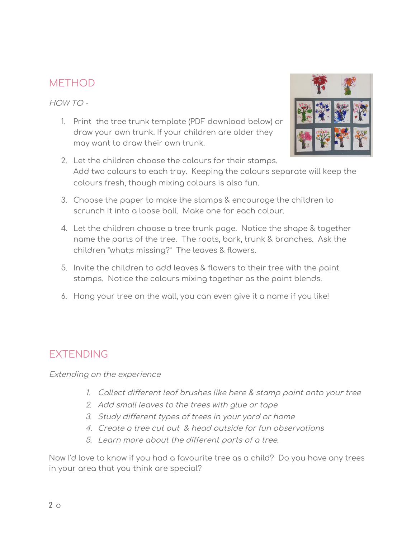### **METHOD**

HOW TO -

1. Print the tree trunk template (PDF download below) or draw your own trunk. If your children are older they may want to draw their own trunk.



- 2. Let the children choose the colours for their stamps. Add two colours to each tray. Keeping the colours separate will keep the colours fresh, though mixing colours is also fun.
- 3. Choose the paper to make the stamps & encourage the children to scrunch it into a loose ball. Make one for each colour.
- 4. Let the children choose a tree trunk page. Notice the shape & together name the parts of the tree. The roots, bark, trunk & branches. Ask the children "what;s missing?" The leaves & flowers.
- 5. Invite the children to add leaves & flowers to their tree with the paint stamps. Notice the colours mixing together as the paint blends.
- 6. Hang your tree on the wall, you can even give it a name if you like!

## EXTENDING

Extending on the experience

- 1. Collect different leaf brushes like here & stamp paint onto your tree
- 2. Add small leaves to the trees with glue or tape
- 3. Study different types of trees in your yard or home
- 4. Create <sup>a</sup> tree cut out & head outside for fun observations
- 5. Learn more about the different parts of <sup>a</sup> tree.

Now I'd love to know if you had a favourite tree as a child? Do you have any trees in your area that you think are special?